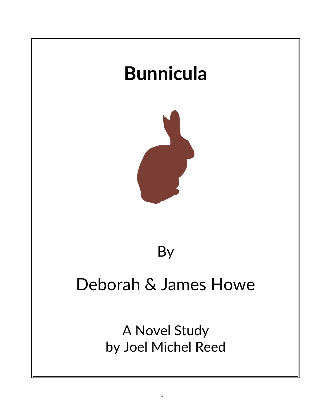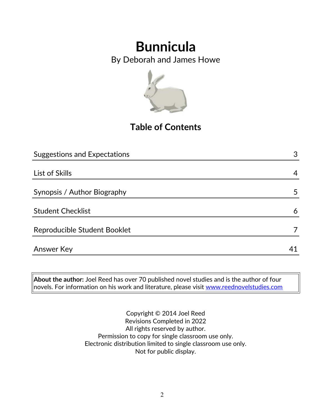By Deborah and James Howe



### **Table of Contents**

| <b>Suggestions and Expectations</b> | 3  |
|-------------------------------------|----|
|                                     |    |
| List of Skills                      | 4  |
|                                     |    |
| Synopsis / Author Biography         | 5  |
|                                     |    |
| <b>Student Checklist</b>            | 6  |
|                                     |    |
| Reproducible Student Booklet        |    |
| <b>Answer Key</b>                   | 41 |
|                                     |    |

**About the author:** Joel Reed has over 70 published novel studies and is the author of four  $|$ novels. For information on his work and literature, please visit [www.reednovelstudies.com](http://www.reednovelstudies.com/)

> Copyright © 2014 Joel Reed Revisions Completed in 2022 All rights reserved by author. Permission to copy for single classroom use only. Electronic distribution limited to single classroom use only. Not for public display.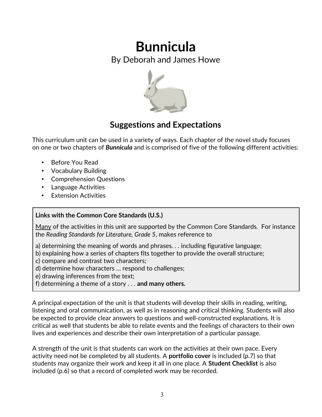By Deborah and James Howe



### **Suggestions and Expectations**

This curriculum unit can be used in a variety of ways. Each chapter of the novel study focuses on one or two chapters of *Bunnicula* and is comprised of five of the following different activities:

- Before You Read
- Vocabulary Building
- Comprehension Questions
- Language Activities
- **Extension Activities**

#### **Links with the Common Core Standards (U.S.)**

Many of the activities in this unit are supported by the Common Core Standards. For instance the *Reading Standards for Literature, Grade 5*, makes reference to

- a) determining the meaning of words and phrases. . . including figurative language;
- b) explaining how a series of chapters fits together to provide the overall structure;
- c) compare and contrast two characters;
- d) determine how characters … respond to challenges;
- e) drawing inferences from the text;
- f) determining a theme of a story . . . **and many others.**

A principal expectation of the unit is that students will develop their skills in reading, writing, listening and oral communication, as well as in reasoning and critical thinking. Students will also be expected to provide clear answers to questions and well-constructed explanations. It is critical as well that students be able to relate events and the feelings of characters to their own lives and experiences and describe their own interpretation of a particular passage.

A strength of the unit is that students can work on the activities at their own pace. Every activity need not be completed by all students. A **portfolio cover** is included (p.7) so that students may organize their work and keep it all in one place. A **Student Checklist** is also included (p.6) so that a record of completed work may be recorded.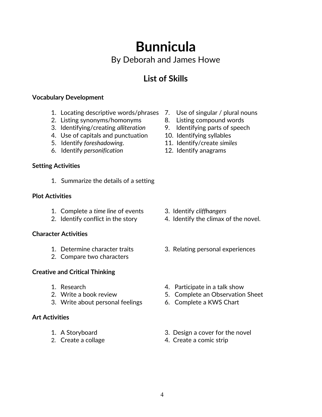## **Bunnicula** By Deborah and James Howe

### **List of Skills**

#### **Vocabulary Development**

- 1. Locating descriptive words/phrases 7. Use of singular / plural nouns
- 2. Listing synonyms/homonyms 8. Listing compound words
- 3. Identifying/creating *alliteration* 9. Identifying parts of speech
- 4. Use of capitals and punctuation 10. Identifying syllables
- 5. Identify *foreshadowing*. 11. Identify/create *similes*
- 6. Identify *personification* 12. Identify anagrams

#### **Setting Activities**

1. Summarize the details of a setting

#### **Plot Activities**

- 1. Complete a *time line* of events 3. Identify *cliffhangers*
- 

#### **Character Activities**

- 
- 2. Compare two characters

#### **Creative and Critical Thinking**

- 
- 
- 3. Write about personal feelings 6. Complete a KWS Chart

#### **Art Activities**

- 
- 
- 
- 
- 
- 
- 
- 

- 
- 2. Identify conflict in the story 4. Identify the climax of the novel.
- 1. Determine character traits 3. Relating personal experiences
- 1. Research 1. Participate in a talk show
- 2. Write a book review 5. Complete an Observation Sheet
	-
- 1. A Storyboard 3. Design a cover for the novel
- 2. Create a collage 4. Create a comic strip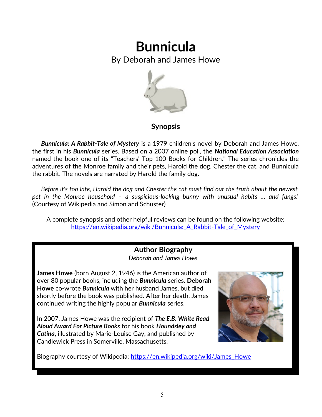By Deborah and James Howe



### **Synopsis**

 *Bunnicula: A Rabbit-Tale of Mystery* is a 1979 children's novel by Deborah and James Howe, the first in his *Bunnicula* series. Based on a 2007 online poll, the *National Education Association* named the book one of its "Teachers' Top 100 Books for Children." The series chronicles the adventures of the Monroe family and their pets, Harold the dog, Chester the cat, and Bunnicula the rabbit. The novels are narrated by Harold the family dog.

 *Before it's too late, Harold the dog and Chester the cat must find out the truth about the newest pet in the Monroe household – a suspicious-looking bunny with unusual habits … and fangs!* (Courtesy of Wikipedia and Simon and Schuster)

A complete synopsis and other helpful reviews can be found on the following website: https://en.wikipedia.org/wiki/Bunnicula: A Rabbit-Tale of Mystery

#### **Author Biography** *Deborah and James Howe*

**James Howe** (born August 2, 1946) is the American author of over 80 popular books, including the *Bunnicula* series. **Deborah Howe** co-wrote *Bunnicula* with her husband James, but died shortly before the book was published. After her death, James continued writing the highly popular *Bunnicula* series.

In 2007, James Howe was the recipient of *The E.B. White Read Aloud Award For Picture Books* for his book *Houndsley and Catina*, illustrated by Marie-Louise Gay, and published by Candlewick Press in Somerville, Massachusetts.



Biography courtesy of Wikipedia: [https://en.wikipedia.org/wiki/James\\_Howe](https://en.wikipedia.org/wiki/James_Howe)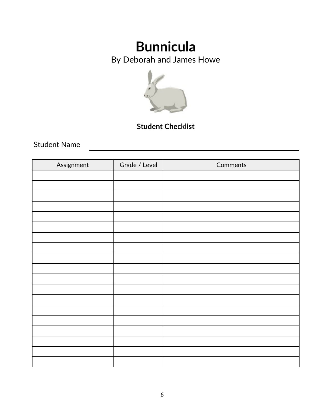By Deborah and James Howe



### **Student Checklist**

Student Name

| Assignment | Grade / Level | Comments |
|------------|---------------|----------|
|            |               |          |
|            |               |          |
|            |               |          |
|            |               |          |
|            |               |          |
|            |               |          |
|            |               |          |
|            |               |          |
|            |               |          |
|            |               |          |
|            |               |          |
|            |               |          |
|            |               |          |
|            |               |          |
|            |               |          |
|            |               |          |
|            |               |          |
|            |               |          |
|            |               |          |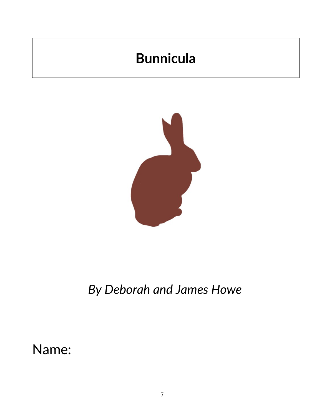

## *By Deborah and James Howe*

Name: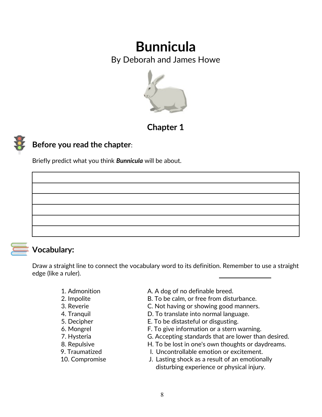By Deborah and James Howe



**Chapter 1**

### **Before you read the chapter**:

Briefly predict what you think *Bunnicula* will be about.



### **Vocabulary:**

Draw a straight line to connect the vocabulary word to its definition. Remember to use a straight edge (like a ruler).

- 
- 
- 
- 
- 
- 
- 
- 
- 
- 
- 1. Admonition **A. A** dog of no definable breed.
- 2. Impolite **B. To be calm, or free from disturbance.**
- 3. Reverie C. Not having or showing good manners.
- 4. Tranquil **Example 2. To translate into normal language.**
- 5. Decipher E. To be distasteful or disgusting.
- 6. Mongrel F. To give information or a stern warning.
- 7. Hysteria G. Accepting standards that are lower than desired.
- 8. Repulsive **H. To be lost in one's own thoughts or daydreams.**
- 9. Traumatized The Christ Controllable emotion or excitement.
- 10. Compromise J. Lasting shock as a result of an emotionally disturbing experience or physical injury.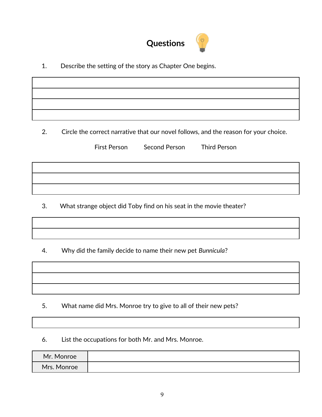

1. Describe the setting of the story as Chapter One begins.

2. Circle the correct narrative that our novel follows, and the reason for your choice.

First Person Second Person Third Person

3. What strange object did Toby find on his seat in the movie theater?

4. Why did the family decide to name their new pet *Bunnicula*?

5. What name did Mrs. Monroe try to give to all of their new pets?

6. List the occupations for both Mr. and Mrs. Monroe.

| Mr. Monroe  |  |
|-------------|--|
| Mrs. Monroe |  |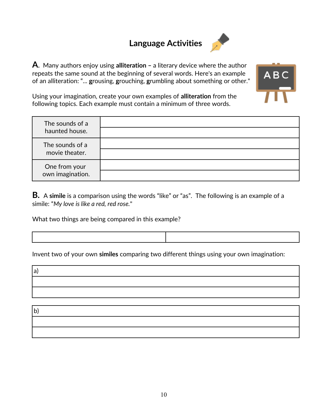### **Language Activities**



**A**. Many authors enjoy using **alliteration –** a literary device where the author repeats the same sound at the beginning of several words. Here's an example of an alliteration: "... **g**rousing, **g**rouching, **g**rumbling about something or other."



Using your imagination, create your own examples of **alliteration** from the following topics. Each example must contain a minimum of three words.

| The sounds of a<br>haunted house. |  |
|-----------------------------------|--|
| The sounds of a<br>movie theater. |  |
| One from your<br>own imagination. |  |

**B.** A **simile** is a comparison using the words "like" or "as". The following is an example of a simile: "*My love is like a red, red rose.*"

What two things are being compared in this example?

Invent two of your own **similes** comparing two different things using your own imagination:

a)

b)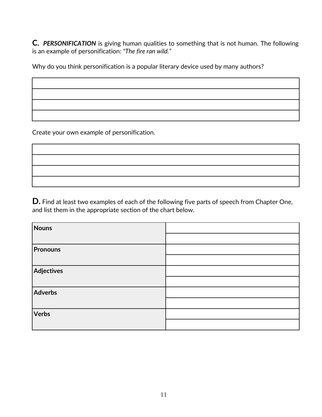**C.** *PERSONIFICATION* is giving human qualities to something that is not human. The following is an example of personification: *"The fire ran wild."* 

Why do you think personification is a popular literary device used by many authors?

Create your own example of personification.

**D.** Find at least two examples of each of the following five parts of speech from Chapter One, and list them in the appropriate section of the chart below.

| Nouns           |  |
|-----------------|--|
|                 |  |
| <b>Pronouns</b> |  |
|                 |  |
| Adjectives      |  |
|                 |  |
| Adverbs         |  |
|                 |  |
| Verbs           |  |
|                 |  |